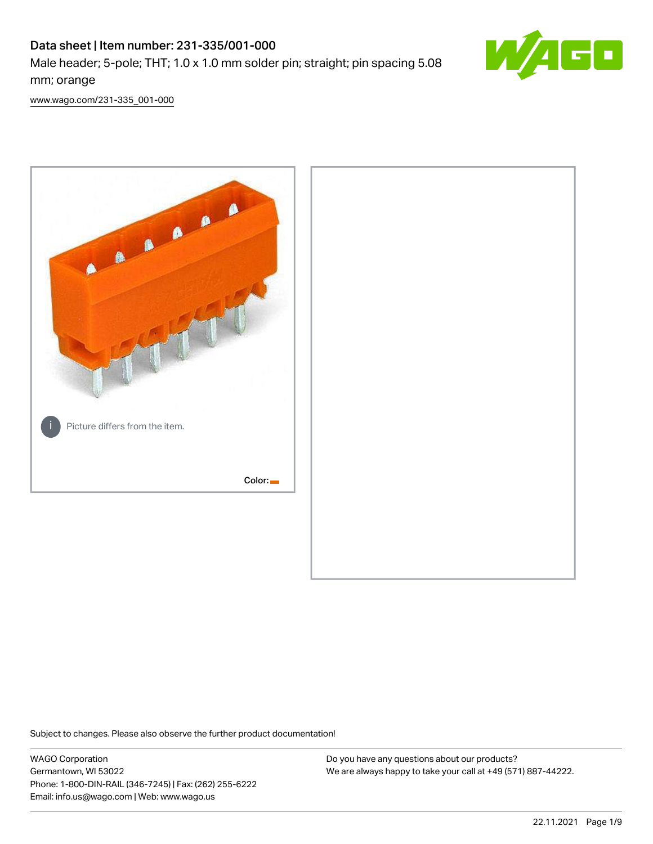# Data sheet | Item number: 231-335/001-000 Male header; 5-pole; THT; 1.0 x 1.0 mm solder pin; straight; pin spacing 5.08 mm; orange



[www.wago.com/231-335\\_001-000](http://www.wago.com/231-335_001-000)



Subject to changes. Please also observe the further product documentation!

WAGO Corporation Germantown, WI 53022 Phone: 1-800-DIN-RAIL (346-7245) | Fax: (262) 255-6222 Email: info.us@wago.com | Web: www.wago.us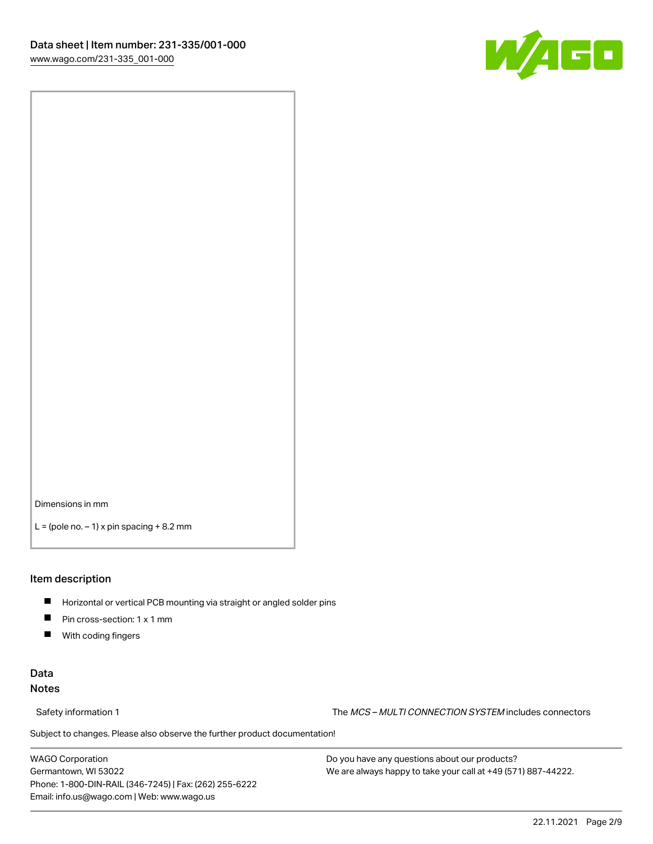

Dimensions in mm

 $L =$  (pole no.  $-1$ ) x pin spacing  $+8.2$  mm

### Item description

- **Horizontal or vertical PCB mounting via straight or angled solder pins**
- **Pin cross-section: 1 x 1 mm**
- $\blacksquare$ With coding fingers

# Data Notes

Safety information 1 The MCS – MULTI CONNECTION SYSTEM includes connectors

Subject to changes. Please also observe the further product documentation!  $\nu$ 

WAGO Corporation Germantown, WI 53022 Phone: 1-800-DIN-RAIL (346-7245) | Fax: (262) 255-6222 Email: info.us@wago.com | Web: www.wago.us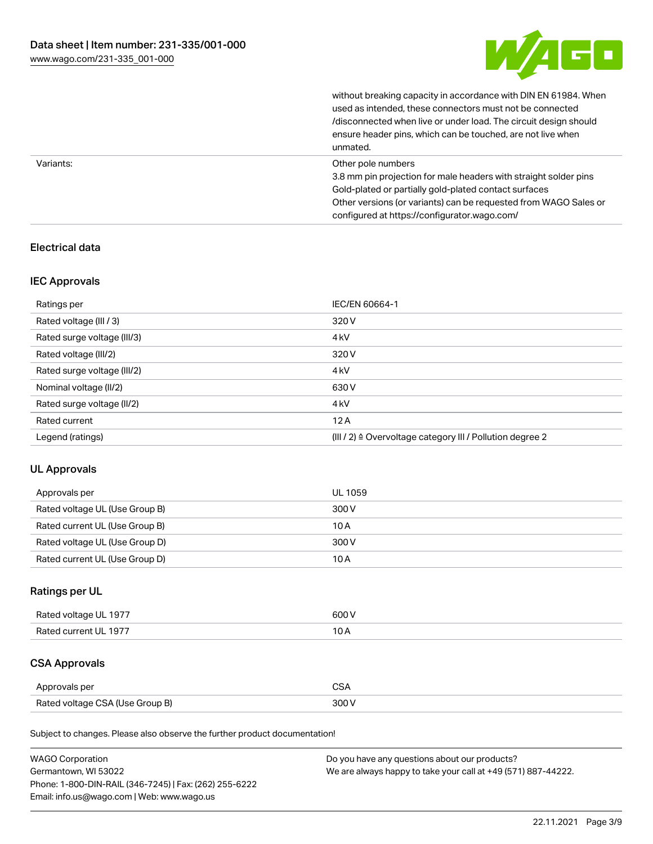

without breaking capacity in accordance with DIN EN 61984. When

|           | used as intended, these connectors must not be connected<br>/disconnected when live or under load. The circuit design should<br>ensure header pins, which can be touched, are not live when<br>unmated.                                                             |
|-----------|---------------------------------------------------------------------------------------------------------------------------------------------------------------------------------------------------------------------------------------------------------------------|
| Variants: | Other pole numbers<br>3.8 mm pin projection for male headers with straight solder pins<br>Gold-plated or partially gold-plated contact surfaces<br>Other versions (or variants) can be requested from WAGO Sales or<br>configured at https://configurator.wago.com/ |

# Electrical data

# IEC Approvals

| Ratings per                 | IEC/EN 60664-1                                            |
|-----------------------------|-----------------------------------------------------------|
| Rated voltage (III / 3)     | 320 V                                                     |
| Rated surge voltage (III/3) | 4 <sub>k</sub> V                                          |
| Rated voltage (III/2)       | 320 V                                                     |
| Rated surge voltage (III/2) | 4 <sub>k</sub> V                                          |
| Nominal voltage (II/2)      | 630 V                                                     |
| Rated surge voltage (II/2)  | 4 <sub>k</sub> V                                          |
| Rated current               | 12A                                                       |
| Legend (ratings)            | (III / 2) ≙ Overvoltage category III / Pollution degree 2 |

# UL Approvals

| Approvals per                  | UL 1059 |
|--------------------------------|---------|
| Rated voltage UL (Use Group B) | 300 V   |
| Rated current UL (Use Group B) | 10 A    |
| Rated voltage UL (Use Group D) | 300 V   |
| Rated current UL (Use Group D) | 10 A    |

# Ratings per UL

| Rated voltage UL 1977 | 600 V |
|-----------------------|-------|
| Rated current UL 1977 |       |

# CSA Approvals

| Approvals per                   | ~~    |
|---------------------------------|-------|
| Rated voltage CSA (Use Group B) | 3UU 1 |

Subject to changes. Please also observe the further product documentation!

| <b>WAGO Corporation</b>                                | Do you have any questions about our products?                 |
|--------------------------------------------------------|---------------------------------------------------------------|
| Germantown, WI 53022                                   | We are always happy to take your call at +49 (571) 887-44222. |
| Phone: 1-800-DIN-RAIL (346-7245)   Fax: (262) 255-6222 |                                                               |
| Email: info.us@wago.com   Web: www.wago.us             |                                                               |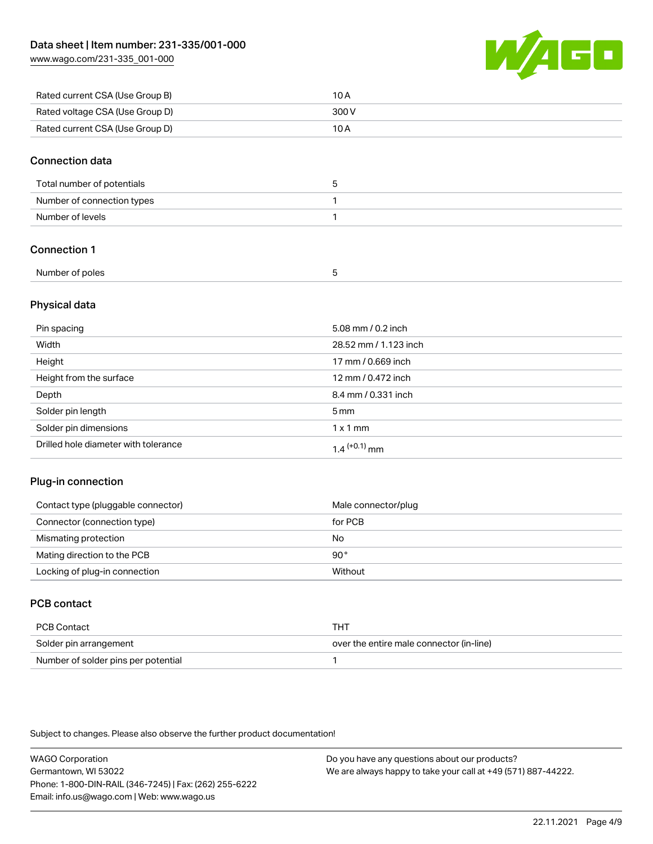[www.wago.com/231-335\\_001-000](http://www.wago.com/231-335_001-000)



| Rated current CSA (Use Group B) | 10 A  |
|---------------------------------|-------|
| Rated voltage CSA (Use Group D) | 300 V |
| Rated current CSA (Use Group D) | 10 A  |

## Connection data

| Total number of potentials |  |
|----------------------------|--|
| Number of connection types |  |
| Number of levels           |  |

# Connection 1

| Number of poles |  |
|-----------------|--|
|                 |  |

## Physical data

| Pin spacing                          | 5.08 mm / 0.2 inch    |
|--------------------------------------|-----------------------|
| Width                                | 28.52 mm / 1.123 inch |
| Height                               | 17 mm / 0.669 inch    |
| Height from the surface              | 12 mm / 0.472 inch    |
| Depth                                | 8.4 mm / 0.331 inch   |
| Solder pin length                    | 5 <sub>mm</sub>       |
| Solder pin dimensions                | $1 \times 1$ mm       |
| Drilled hole diameter with tolerance | $1.4$ $(+0.1)$ mm     |

# Plug-in connection

| Contact type (pluggable connector) | Male connector/plug |
|------------------------------------|---------------------|
| Connector (connection type)        | for PCB             |
| Mismating protection               | No                  |
| Mating direction to the PCB        | 90°                 |
| Locking of plug-in connection      | Without             |

# PCB contact

| PCB Contact                         | тнт                                      |
|-------------------------------------|------------------------------------------|
| Solder pin arrangement              | over the entire male connector (in-line) |
| Number of solder pins per potential |                                          |

Subject to changes. Please also observe the further product documentation!

WAGO Corporation Germantown, WI 53022 Phone: 1-800-DIN-RAIL (346-7245) | Fax: (262) 255-6222 Email: info.us@wago.com | Web: www.wago.us Do you have any questions about our products? We are always happy to take your call at +49 (571) 887-44222.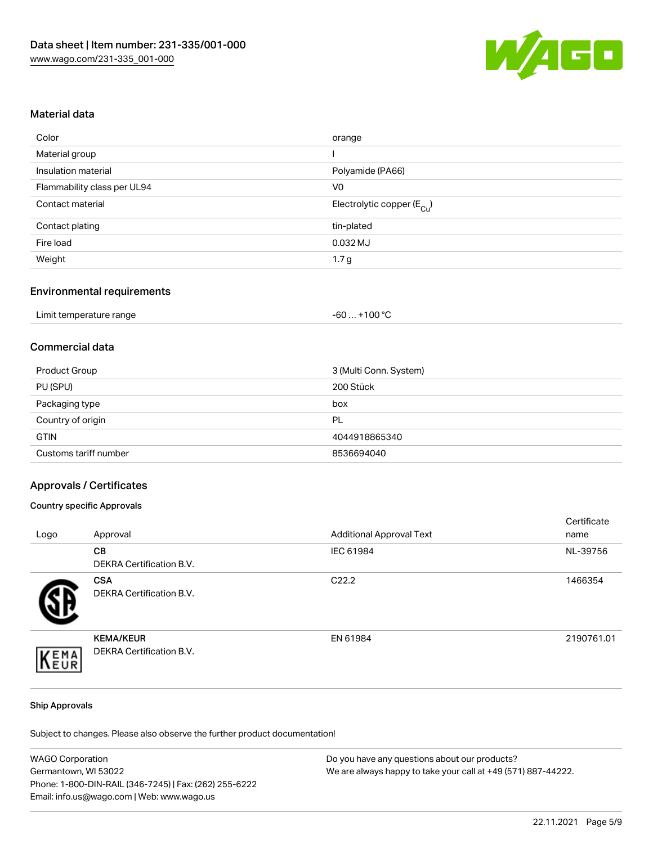

## Material data

| Color                       | orange                                 |
|-----------------------------|----------------------------------------|
| Material group              |                                        |
| Insulation material         | Polyamide (PA66)                       |
| Flammability class per UL94 | V <sub>0</sub>                         |
| Contact material            | Electrolytic copper (E <sub>Cu</sub> ) |
| Contact plating             | tin-plated                             |
| Fire load                   | 0.032 MJ                               |
| Weight                      | 1.7 <sub>g</sub>                       |

# Environmental requirements

| Limit temperature range | . +100 °C<br>-60 |
|-------------------------|------------------|
|-------------------------|------------------|

# Commercial data

| Product Group         | 3 (Multi Conn. System) |
|-----------------------|------------------------|
| PU (SPU)              | 200 Stück              |
| Packaging type        | box                    |
| Country of origin     | PL                     |
| <b>GTIN</b>           | 4044918865340          |
| Customs tariff number | 8536694040             |

### Approvals / Certificates

### Country specific Approvals

| Logo | Approval                                            | <b>Additional Approval Text</b> | Certificate<br>name |
|------|-----------------------------------------------------|---------------------------------|---------------------|
|      | <b>CB</b><br>DEKRA Certification B.V.               | IEC 61984                       | NL-39756            |
|      | <b>CSA</b><br>DEKRA Certification B.V.              | C <sub>22.2</sub>               | 1466354             |
| EMA  | <b>KEMA/KEUR</b><br><b>DEKRA Certification B.V.</b> | EN 61984                        | 2190761.01          |

#### Ship Approvals

Subject to changes. Please also observe the further product documentation!

| <b>WAGO Corporation</b>                                | Do you have any questions about our products?                 |
|--------------------------------------------------------|---------------------------------------------------------------|
| Germantown, WI 53022                                   | We are always happy to take your call at +49 (571) 887-44222. |
| Phone: 1-800-DIN-RAIL (346-7245)   Fax: (262) 255-6222 |                                                               |
| Email: info.us@wago.com   Web: www.wago.us             |                                                               |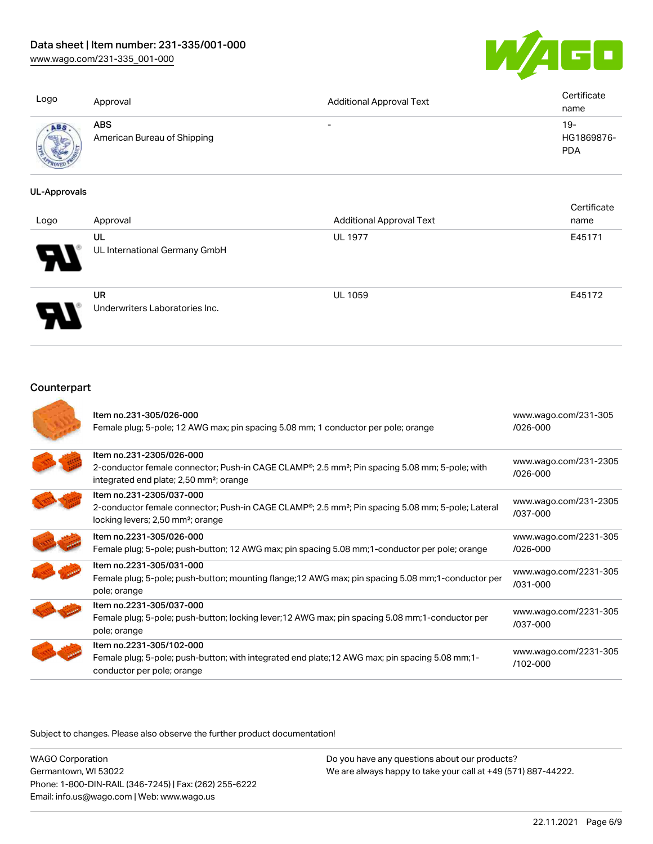[www.wago.com/231-335\\_001-000](http://www.wago.com/231-335_001-000)



| Logo | Approval                                  | <b>Additional Approval Text</b> | Certificate<br>name               |
|------|-------------------------------------------|---------------------------------|-----------------------------------|
|      | <b>ABS</b><br>American Bureau of Shipping | $\overline{\phantom{0}}$        | $19-$<br>HG1869876-<br><b>PDA</b> |

### UL-Approvals

| Logo | Approval                             | <b>Additional Approval Text</b> | Certificate<br>name |
|------|--------------------------------------|---------------------------------|---------------------|
| Ъ.   | UL<br>UL International Germany GmbH  | <b>UL 1977</b>                  | E45171              |
|      | UR<br>Underwriters Laboratories Inc. | <b>UL 1059</b>                  | E45172              |

# **Counterpart**

| Item no.231-305/026-000<br>Female plug; 5-pole; 12 AWG max; pin spacing 5.08 mm; 1 conductor per pole; orange                                                                                           | www.wago.com/231-305<br>/026-000      |
|---------------------------------------------------------------------------------------------------------------------------------------------------------------------------------------------------------|---------------------------------------|
| Item no.231-2305/026-000<br>2-conductor female connector; Push-in CAGE CLAMP®; 2.5 mm <sup>2</sup> ; Pin spacing 5.08 mm; 5-pole; with<br>integrated end plate; 2,50 mm <sup>2</sup> ; orange           | www.wago.com/231-2305<br>$/026 - 000$ |
| Item no.231-2305/037-000<br>2-conductor female connector; Push-in CAGE CLAMP <sup>®</sup> ; 2.5 mm <sup>2</sup> ; Pin spacing 5.08 mm; 5-pole; Lateral<br>locking levers; 2,50 mm <sup>2</sup> ; orange | www.wago.com/231-2305<br>/037-000     |
| Item no.2231-305/026-000<br>Female plug; 5-pole; push-button; 12 AWG max; pin spacing 5.08 mm; 1-conductor per pole; orange                                                                             | www.wago.com/2231-305<br>$/026 - 000$ |
| Item no.2231-305/031-000<br>Female plug; 5-pole; push-button; mounting flange; 12 AWG max; pin spacing 5.08 mm; 1-conductor per<br>pole; orange                                                         | www.wago.com/2231-305<br>$/031 - 000$ |
| Item no.2231-305/037-000<br>Female plug; 5-pole; push-button; locking lever; 12 AWG max; pin spacing 5.08 mm; 1-conductor per<br>pole; orange                                                           | www.wago.com/2231-305<br>/037-000     |
| Item no.2231-305/102-000<br>Female plug; 5-pole; push-button; with integrated end plate; 12 AWG max; pin spacing 5.08 mm; 1-<br>conductor per pole; orange                                              | www.wago.com/2231-305<br>$/102 - 000$ |

Subject to changes. Please also observe the further product documentation!

WAGO Corporation Germantown, WI 53022 Phone: 1-800-DIN-RAIL (346-7245) | Fax: (262) 255-6222 Email: info.us@wago.com | Web: www.wago.us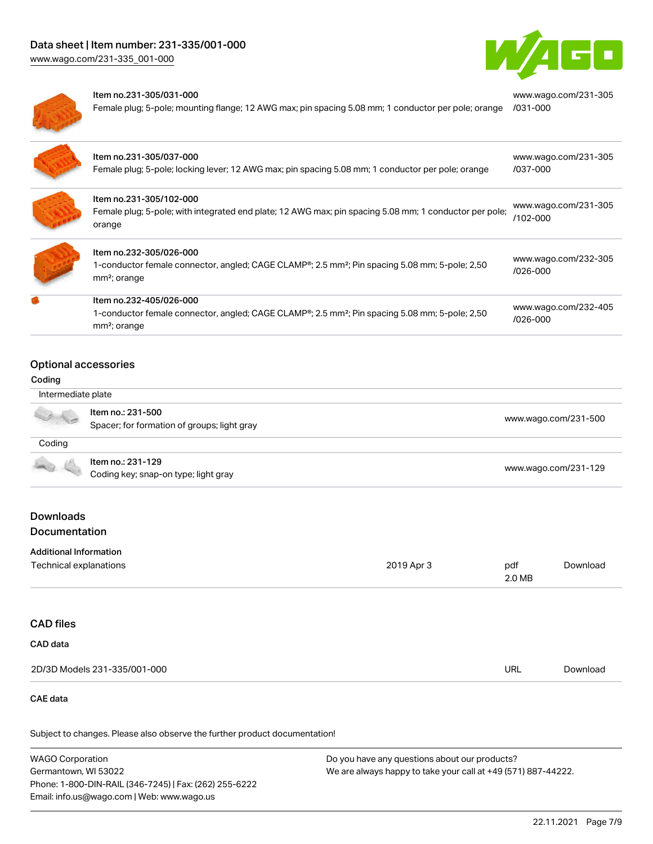

[www.wago.com/231-305](https://www.wago.com/231-305/031-000)



#### Item no.231-305/031-000

Female plug; 5-pole; mounting flange; 12 AWG max; pin spacing 5.08 mm; 1 conductor per pole; orange [/031-000](https://www.wago.com/231-305/031-000)

| ltem no.231-305/037-000<br>Female plug; 5-pole; locking lever; 12 AWG max; pin spacing 5.08 mm; 1 conductor per pole; orange                                      | www.wago.com/231-305<br>/037-000     |
|-------------------------------------------------------------------------------------------------------------------------------------------------------------------|--------------------------------------|
| Item no.231-305/102-000<br>Female plug; 5-pole; with integrated end plate; 12 AWG max; pin spacing 5.08 mm; 1 conductor per pole;<br>orange                       | www.wago.com/231-305<br>$/102 - 000$ |
| Item no.232-305/026-000<br>1-conductor female connector, angled; CAGE CLAMP®; 2.5 mm <sup>2</sup> ; Pin spacing 5.08 mm; 5-pole; 2,50<br>mm <sup>2</sup> ; orange | www.wago.com/232-305<br>$/026 - 000$ |
| Item no.232-405/026-000<br>1-conductor female connector, angled; CAGE CLAMP®; 2.5 mm <sup>2</sup> ; Pin spacing 5.08 mm; 5-pole; 2,50<br>mm <sup>2</sup> ; orange | www.wago.com/232-405<br>/026-000     |
|                                                                                                                                                                   |                                      |

### Optional accessories

#### Coding

d

| Intermediate plate                                                                                                                                                                                                                   |                                                                  |                      |
|--------------------------------------------------------------------------------------------------------------------------------------------------------------------------------------------------------------------------------------|------------------------------------------------------------------|----------------------|
|                                                                                                                                                                                                                                      | Item no.: 231-500<br>Spacer; for formation of groups; light gray | www.wago.com/231-500 |
| Coding                                                                                                                                                                                                                               |                                                                  |                      |
| <b>Contract Contract Contract Contract Contract Contract Contract Contract Contract Contract Contract Contract Contract Contract Contract Contract Contract Contract Contract Contract Contract Contract Contract Contract Contr</b> | Item no.: 231-129<br>Coding key; snap-on type; light gray        | www.wago.com/231-129 |

# Downloads Documentation

| Technical explanations | 2019 Apr 3 | pdf    | Download |
|------------------------|------------|--------|----------|
|                        |            | 2.0 MB |          |

# CAD files

| 2D/3D Models 231-335/001-000 | URL | Download |
|------------------------------|-----|----------|

### CAE data

Subject to changes. Please also observe the further product documentation!

WAGO Corporation Germantown, WI 53022 Phone: 1-800-DIN-RAIL (346-7245) | Fax: (262) 255-6222 Email: info.us@wago.com | Web: www.wago.us Do you have any questions about our products? We are always happy to take your call at +49 (571) 887-44222.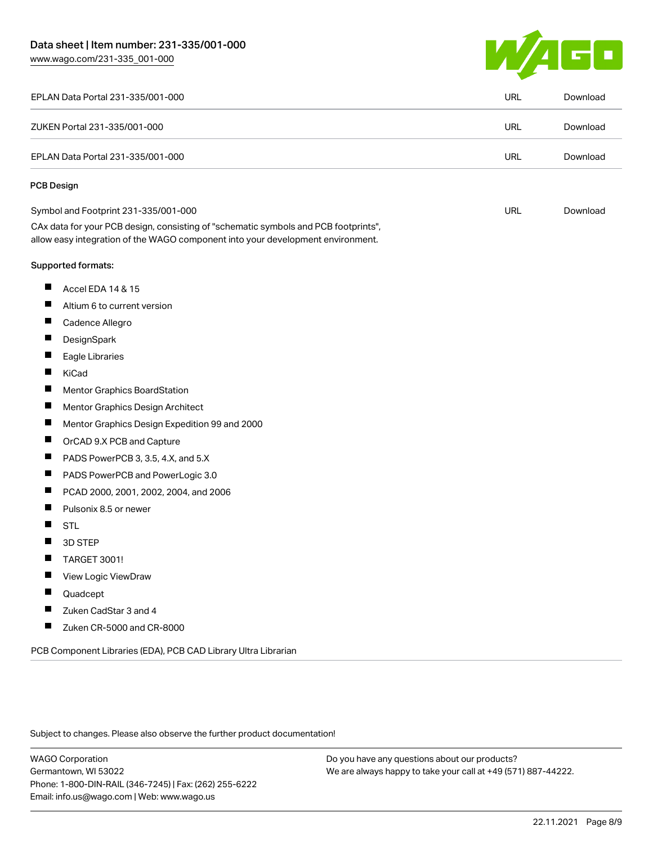# Data sheet | Item number: 231-335/001-000

[www.wago.com/231-335\\_001-000](http://www.wago.com/231-335_001-000)



| EPLAN Data Portal 231-335/001-000                                                                                                                                      | <b>URL</b> | Download |
|------------------------------------------------------------------------------------------------------------------------------------------------------------------------|------------|----------|
| ZUKEN Portal 231-335/001-000                                                                                                                                           | <b>URL</b> | Download |
| EPLAN Data Portal 231-335/001-000                                                                                                                                      | <b>URL</b> | Download |
| <b>PCB Design</b>                                                                                                                                                      |            |          |
| Symbol and Footprint 231-335/001-000                                                                                                                                   | <b>URL</b> | Download |
| CAx data for your PCB design, consisting of "schematic symbols and PCB footprints",<br>allow easy integration of the WAGO component into your development environment. |            |          |
| Supported formats:                                                                                                                                                     |            |          |
| ш<br>Accel EDA 14 & 15                                                                                                                                                 |            |          |
| ш<br>Altium 6 to current version                                                                                                                                       |            |          |
| ш<br>Cadence Allegro                                                                                                                                                   |            |          |
| П<br>DesignSpark                                                                                                                                                       |            |          |
| ш<br>Eagle Libraries                                                                                                                                                   |            |          |
| П<br>KiCad                                                                                                                                                             |            |          |
| Ш<br>Mentor Graphics BoardStation                                                                                                                                      |            |          |
| ш<br>Mentor Graphics Design Architect                                                                                                                                  |            |          |
| $\blacksquare$<br>Mentor Graphics Design Expedition 99 and 2000                                                                                                        |            |          |
| $\blacksquare$<br>OrCAD 9.X PCB and Capture                                                                                                                            |            |          |
| ш<br>PADS PowerPCB 3, 3.5, 4.X, and 5.X                                                                                                                                |            |          |
| $\blacksquare$<br>PADS PowerPCB and PowerLogic 3.0                                                                                                                     |            |          |
| $\blacksquare$<br>PCAD 2000, 2001, 2002, 2004, and 2006                                                                                                                |            |          |
| $\blacksquare$<br>Pulsonix 8.5 or newer                                                                                                                                |            |          |
| H<br><b>STL</b>                                                                                                                                                        |            |          |
| 3D STEP                                                                                                                                                                |            |          |
| TARGET 3001!<br>ш                                                                                                                                                      |            |          |
| View Logic ViewDraw                                                                                                                                                    |            |          |
| Quadcept                                                                                                                                                               |            |          |
| Zuken CadStar 3 and 4<br>П                                                                                                                                             |            |          |
| ш<br>Zuken CR-5000 and CR-8000                                                                                                                                         |            |          |

Subject to changes. Please also observe the further product documentation!

WAGO Corporation Germantown, WI 53022 Phone: 1-800-DIN-RAIL (346-7245) | Fax: (262) 255-6222 Email: info.us@wago.com | Web: www.wago.us